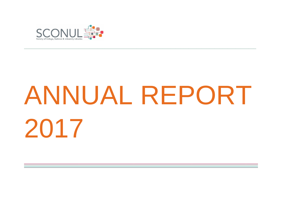

# ANNUAL REPORT 2017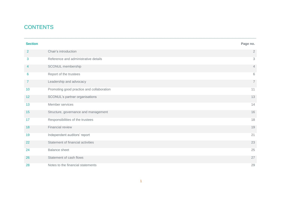# **CONTENTS**

| <b>Section</b> |                                           | Page no.                  |
|----------------|-------------------------------------------|---------------------------|
| $\overline{2}$ | Chair's introduction                      | $\overline{2}$            |
| 3              | Reference and administrative details      | $\ensuremath{\mathsf{3}}$ |
| 4              | SCONUL membership                         | 4                         |
| 6              | Report of the trustees                    | 6                         |
| $\overline{7}$ | Leadership and advocacy                   | $\overline{7}$            |
| 10             | Promoting good practice and collaboration | 11                        |
| 12             | SCONUL's partner organisations            | 13                        |
| 13             | Member services                           | 14                        |
| 15             | Structure, governance and management      | 16                        |
| 17             | Responsibilities of the trustees          | 18                        |
| 18             | Financial review                          | 19                        |
| 19             | Independent auditors' report              | 21                        |
| 22             | Statement of financial activities         | 23                        |
| 24             | <b>Balance sheet</b>                      | 25                        |
| 26             | Statement of cash flows                   | 27                        |
| 28             | Notes to the financial statements         | 29                        |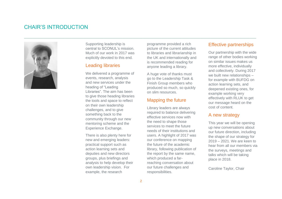## CHAIR'S INTRODUCTION



Supporting leadership is central to SCONUL's mission. Much of our work in 2017 was explicitly devoted to this end.

#### Leading libraries

We delivered a programme of events, research, analysis and new services under the heading of "Leading Libraries". The aim has been to give those heading libraries the tools and space to reflect on their own leadership challenges, and to give something back to the community through our new mentoring scheme and the Experience Exchange.

There is also plenty here for new and emerging leaders: practical support such as action learning sets and deputies and new directors groups, plus briefings and analysis to help develop their own leadership vision. For example, the research

programme provided a rich picture of the current attitudes to libraries and librarianship in the UK and internationally and is recommended reading for anyone leading a library.

A huge vote of thanks must go to the Leadership Task & Finish Group members who produced so much, so quickly on slim resources.

## Mapping the future

Library leaders are always required to balance delivering effective services now with the need to shape those services to meet the future needs of their institutions and users. A highlight of 2017 was our conference on mapping the future of the academic library, following publication of the report by the same name, which produced a farreaching conversation about our future challenges and responsibilities.

#### Effective partnerships

Our partnership with the wide range of other bodies working on similar issues makes us more effective, individually and collectively. During 2017 we built new relationships – for example with BUFDG on action learning sets, and deepened existing ones, for example working very effectively with RLUK to get our message heard on the cost of content.

#### A new strategy

This year we will be opening up new conversations about our future direction, including the shape of our strategy for 2019 – 2021. We are keen to hear from all our members via the surveys, meetings and talks which will be taking place in 2018.

Caroline Taylor, Chair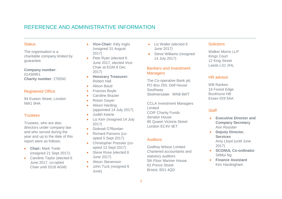# REFERENCE AND ADMINISTRATIVE INFORMATION

#### **Status**

The organisation is a charitable company limited by guarantee.

**Company number**: 01436951 **Charity number**: 278550

#### Registered Office

94 Euston Street, London NW1 9HA

#### **Trustees**

Trustees, who are also directors under company law and who served during the year and up to the date of this report were as follows:

- **Chair:** Mark Toole (resigned 21 Sept 2017);
- Caroline Taylor (elected 6 June 2017, co-opted Chair until 2018 AGM)
- **Vice-Chair:** Kitty Inglis (resigned 31 August 2017)
- Pete Ryan (elected 6 June 2017, elected Vice-Chair at EGM 8 Dec 2017)
- **Honorary Treasurer:**  Robert Hall
- Alison Baud
- Frances Boyle
- Caroline Brazier
- Roisin Gwyer
- Alison Harding (appointed 14 July 2017)
- Judith Keene
- Liz Kerr (resigned 14 July 2017)
- Gobnait O'Riordan
- Richard Parsons (coopted 5 Sept 2017)
- Christopher Pressler (coopted 13 Sept 2017)
- Steve Rose (elected 6 June 2017)
- Alison Stevenson
- John Tuck (resigned 6 June)

• Liz Waller (elected 6 June 2017)

\_\_\_\_\_\_\_\_\_\_\_\_\_\_\_\_\_\_\_\_\_\_\_\_\_\_\_\_\_\_\_\_\_\_\_\_\_\_\_\_\_\_\_\_\_\_\_\_\_\_\_\_\_\_\_\_\_\_\_\_\_\_\_\_\_\_\_\_\_\_\_\_\_\_\_\_\_\_\_\_\_\_\_\_\_\_\_\_\_

• Steve Williams (resigned 14 July 2017)

#### Bankers and Investment **Managers**

The Co-operative Bank plc PO Box 250, Delf House Southway Skelmersdale WN8 6WT

CCLA Investment Managers Limited COIF Charity Funds Senator House 85 Queen Victoria Street London EC4V 4ET

#### Auditors

Godfrey Wilson Limited Chartered accountants and statutory auditors 5th Floor Mariner House 62 Prince Street Bristol, BS1 4QD

#### **Solicitors**

Walker Morris LLP Kings Court 12 King Street Leeds LS1 2HL

#### HR advisor

WB Ranken 16 Forest Edge Buckhurst Hill Essex IG9 5AA

#### **Staff**

- **Executive Director and Company Secretary** Ann Rossiter
- **Deputy Director, Services** Amy Lloyd (until June 2017)
- **SCONUL Co-ordinator** SitMui Ng
- **Finance Assistant** Kim Hardingham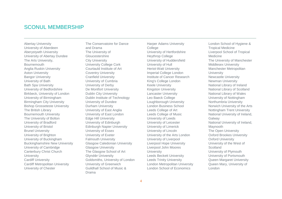## SCONUL MEMBERSHIP

Abertay University University of Aberdeen Aberystywth University University of Abertay Dundee The Arts University, **Bournemouth** Anglia Ruskin University Aston University Bangor University University of Bath Bath Spa University University of Bedfordshire Birkbeck, University of London University of Birmingham Birmingham City University Bishop Grosseteste University The British Library Bournemouth University The University of Bolton University of Bradford University of Bristol Brunel University University of Brighton University of Buckingham Buckinghamshire New University University of Cambridge Canterbury Christ Church University Cardiff University Cardiff Metropolitan University University of Chester

The Conservatoire for Dance and Drama The University of Gloucestershire City University University College Cork Courtauld Institute of Art Coventry University Cranfield University University of Cumbria University of Derby De Montfort University Dublin City University Dublin Institute of Technology University of Dundee Durham University University of East Anglia University of East London Edge Hill University University of Edinburgh Edinburgh Napier University University of Essex University of Exeter Falmouth University Glasgow Caledonian University Glasgow University The Glasgow School of Art Glyndŵr University Goldsmiths, University of London University of Greenwich Guildhall School of Music & Drama

Harper Adams University **College** University of Hertfordshire Heythrop College University of Huddersfield University of Hull Heriot-Watt University Imperial College London Institute of Cancer Research King's College London Keele University Kingston University Lancaster University Leo Baeck College Loughborough University London Business School Leeds College of Art Leeds College of Music University of Leeds University of Leicester University of Limerick University of Lincoln University of the Arts London University of Liverpool Liverpool Hope University Liverpool John Moores **University** Leeds Beckett University Leeds Trinity University London Metropolitan University London School of Economics

London School of Hygiene & Tropical Medicine Liverpool School of Tropical Medicine The University of Manchester Middlesex University Manchester Metropolitan **University** Newcastle University Newman University National Library of Ireland National Library of Scotland National Library of Wales University of Nottingham Northumbria University Norwich University of the Arts Nottingham Trent University National University of Ireland, Galway National University of Ireland, Maynooth The Open University Oxford Brookes University Oxford University University of the West of **Scotland** University of Plymouth University of Portsmouth Queen Margaret University Queen Mary, University of London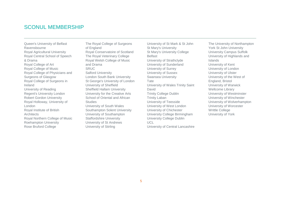## SCONUL MEMBERSHIP

Queen's University of Belfast Ravensbourne Royal Agricultural University Royal Central School of Speech & Drama Royal College of Art Royal College of Music Royal College of Physicians and Surgeons of Glasgow Royal College of Surgeons in Ireland University of Reading Regent's University London Robert Gordon University Royal Holloway, University of London Royal Institute of British **Architects** Royal Northern College of Music Roehampton University Rose Bruford College

The Royal College of Surgeons of England Royal Conservatoire of Scotland The Royal Veterinary College Royal Welsh College of Music and Drama **SRUC** Salford University London South Bank University St George's University of London University of Sheffield Sheffield Hallam University University for the Creative Arts School of Oriental and African **Studies** University of South Wales Southampton Solent University University of Southampton Staffordshire University University of St Andrews University of Stirling

University of St Mark & St John St Mary's University St Mary's University College Belfast University of Strathclyde University of Sunderland University of Surrey University of Sussex Swansea University **Tate** University of Wales Trinity Saint David Trinity College Dublin Trinity Laban University of Teesside University of West London University of Chichester University College Birmingham University College Dublin UCL University of Central Lancashire

The University of Northampton York St John University University Campus Suffolk University of Highlands and **Islands** University of Kent University of London University of Ulster University of the West of England, Bristol University of Warwick Wellcome Library University of Westminster University of Winchester University of Wolverhampton University of Worcester Writtle College University of York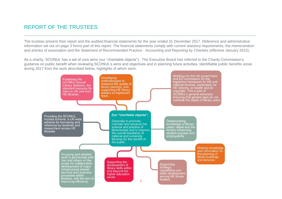# REPORT OF THE TRUSTEES

The trustees present their report and the audited financial statements for the year ended 31 December 2017. Reference and administrative information set out on page 3 forms part of this report. The financial statements comply with current statutory requirements, the memorandum and articles of association and the Statement of Recommended Practice - Accounting and Reporting by Charities (effective January 2015).

\_\_\_\_\_\_\_\_\_\_\_\_\_\_\_\_\_\_\_\_\_\_\_\_\_\_\_\_\_\_\_\_\_\_\_\_\_\_\_\_\_\_\_\_\_\_\_\_\_\_\_\_\_\_\_\_\_\_\_\_\_\_\_\_\_\_\_\_\_\_\_\_\_\_\_\_\_\_\_\_\_\_\_\_\_\_\_\_\_

As a charity, SCONUL has a set of core aims (our "charitable objects"). The Executive Board has referred to the Charity Commission's guidance on public benefit when reviewing SCONUL's aims and objectives and in planning future activities. Identifiable public benefits arose during 2017 from the work described below, highlights of which were:

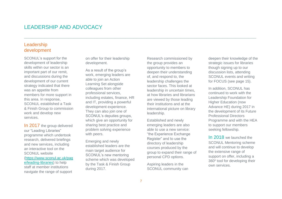## Leadership development

SCONUL's support for the development of leadership skills within our sector is an important part of our remit, and discussions during the development of our current strategy indicated that there was an appetite from members for more support in this area. In response, SCONUL established a Task & Finish Group to commission work and develop new services.

In 2017 the group delivered our "Leading Libraries" programme which undertook research, delivered briefings and new services, including an interactive tool on the SCONUL website [\(https://www.sconul.ac.uk/pag](https://www.sconul.ac.uk/page/leading-libraries) [e/leading-libraries\)](https://www.sconul.ac.uk/page/leading-libraries) to help staff at member institutions navigate the range of support

on offer for their leadership development.

As a result of the group's work, emerging leaders are able to join an Action Learning Set alongside colleagues from other professional services, including estates, finance, HR and IT, providing a powerful development experience. They can also join one of SCONUL's deputies groups, which give an opportunity for sharing best practice and problem solving experience with peers.

Emerging and newly established leaders are the main target audience for SCONUL's new mentoring scheme which was developed by the Task & Finish Group during 2017.

Research commissioned by the group provides an opportunity to members to deepen their understanding of, and respond to, the leadership challenges the sector faces. This looked at leadership in uncertain times, at how libraries and librarians are viewed by those leading their institutions and at the international picture on library leadership.

Established and newly emerging leaders are also able to use a new service: "the Experience Exchange Register" and to use the directory of leadership courses produced by the group to expand their range of personal CPD options.

Aspiring leaders in the SCONUL community can deepen their knowledge of the strategic issues for libraries though signing up to our discussion lists, attending SCONUL events and writing for FOCUS (see page 15).

In addition, SCONUL has continued to work with the Leadership Foundation for Higher Education (now Advance HE) during 2017 in the development of its Future Professional Directors Programme and with the HEA to support our members seeking fellowship.

In 2018 we launched the SCONUL Mentoring scheme and will continue to develop the extensive range of support on offer, including a 360° tool for developing their own services.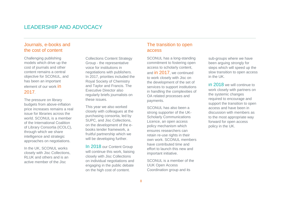#### Journals, e-books and the cost of content

Challenging publishing models which drive up the cost of journals and other content remains a central objective for SCONUL, and has been an important element of our work in 2017.

The pressure on library budgets from above-inflation price increases remains a real issue for libraries across the world. SCONUL is a member of the International Coalition of Library Consortia (ICOLC), through which we share intelligence and strategic approaches on negotiations.

In the UK, SCONUL works closely with Jisc Collections, RLUK and others and is an active member of the Jisc

Collections Content Strategy Group - the representative voice for institutions in negotiations with publishers. In 2017, priorities included the Royal Society of Chemistry and Taylor and Francis. The Executive Director also regularly briefs journalists on these issues.

This year we also worked closely with colleagues at the purchasing consortia, led by SUPC, and Jisc Collections, on the development of the ebooks tender framework, a fruitful partnership which we will be developing further.

In 2018 our Content Group will continue this work, liaising closely with Jisc Collections on individual negotiations and engaging in the public debate on the high cost of content.

## The transition to open access

SCONUL has a long-standing commitment to fostering open access to scholarly content, and in 2017, we continued to work closely with Jisc on the development of the set of services to support institutions in handling the complexities of OA related processes and payments.

SCONUL has also been a strong supporter of the UK-Scholarly Communications Licence, an open access policy mechanism which ensures researchers can retain re-use rights in their own work. SCONUL members have contributed time and effort to launch this new and important initiative.

SCONUL is a member of the UUK Open Access Coordination group and its

sub-groups where we have been arguing strongly for steps which will speed up the slow transition to open access in the UK.

In 2018 we will continue to work closely with partners on the systemic changes required to encourage and support the transition to open access and have been in discussion with members as to the most appropriate way forward for open access policy in the UK.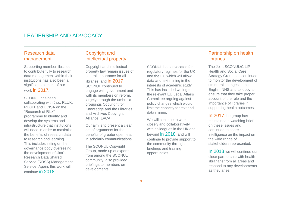## Research data management

Supporting member libraries to contribute fully to research data management within their institutions has also been a significant element of our work in 2017.

SCONUL has been collaborating with Jisc, RLUK, RUGIT and UCISA on the "Research at Risk" programme to identify and develop the systems and infrastructure that institutions will need in order to maximise the benefits of research data to research and learning. This includes sitting on the governance body overseeing the development of Jisc's Research Data Shared Service (RDSS) Management Service. Again, this work will continue in 2018.

## Copyright and intellectual property

Copyright and intellectual property law remain issues of central importance for all libraries, and in 2017 SCONUL continued to engage with government and with its members on reform, largely through the umbrella groupings Copyright for Knowledge and the Libraries and Archives Copyright Alliance (LACA).

Our aim is to present a clear set of arguments for the benefits of greater openness in scholarly communications.

The SCONUL Copyright Group, made up of experts from among the SCONUL community, also provided briefings to members on developments.

SCONUL has advocated for regulatory regimes for the UK and the EU which will allow data and text mining in the interests of academic study. This has included writing to the relevant EU Legal Affairs Committee arguing against policy changes which would limit the capacity for text and data mining.

We will continue to work closely and collaboratively with colleagues in the UK and beyond in 2018, and will continue to provide support to the community through briefings and training opportunities.

## Partnership on health libraries

The Joint SCONUL/CILIP Health and Social Care Strategy Group has continued to monitor the development of structural changes in the English NHS and to lobby to ensure that they take proper account of the role and the importance of libraries in supporting health outcomes.

In 2017 the group has maintained a watching brief on these issues and continued to share intelligence on the impact on the wide range of stakeholders represented.

In 2018 we will continue our close partnership with health librarians from all areas and respond to any developments as they arise.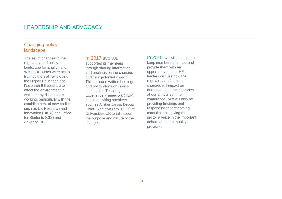## Changing policy landscape

The set of changes to the regulatory and policy landscape for English and Welsh HE which were set in train by the Bell review and the Higher Education and Research Bill continue to affect the environment in which many libraries are working, particularly with the establishment of new bodies such as UK Research and Innovation (UKRI), the Office for Students (OfS) and Advance HE.

#### In 2017 SCONUL

supported its members through sharing information and briefings on the changes and their potential impact. This included written briefings and policy alerts on issues such as the Teaching Excellence Framework (TEF), but also inviting speakers such as Alistair Jarvis, Deputy Chief Executive (now CEO) of Universities UK to talk about the purpose and nature of the changes.

In 2018, we will continue to keep members informed and provide them with an opportunity to hear HE leaders discuss how the regulatory and cultural changes will impact on institutions and their libraries at our annual summer conference. We will also be providing briefings and responding to forthcoming consultations, giving the sector a voice in the important debate about the quality of provision.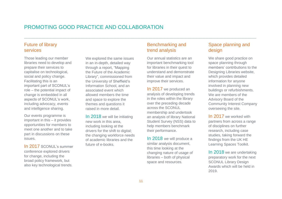# PROMOTING GOOD PRACTICE AND COLLABORATION

## Future of library services

Those leading our member libraries need to develop and prepare their services to capitalise on technological, social and policy change. Facilitating this is an important part of SCONUL's role – the potential impact of change is embedded in all aspects of SCONUL's work, including advocacy, events and intelligence sharing.

Our events programme is important in this – it provides opportunities for members to meet one another and to take part in discussions on these issues.

In 2017 SCONULL's summer conference explored drivers for change, including the broad policy framework, but also key technological trends.

We explored the same issues in an in-depth, detailed way through a report, "Mapping the Future of the Academic Library", commissioned from the University of Sheffield's Information School, and an associated event which allowed members the time and space to explore the themes and questions it raised in more detail.

In 2018 we will be initiating new work in this area, including looking at the drivers for the shift to digital; the changing workforce needs of academic libraries and the future of e-books.

#### Benchmarking and trend analysis

\_\_\_\_\_\_\_\_\_\_\_\_\_\_\_\_\_\_\_\_\_\_\_\_\_\_\_\_\_\_\_\_\_\_\_\_\_\_\_\_\_\_\_\_\_\_\_\_\_\_\_\_\_\_\_\_\_\_\_\_\_\_\_\_\_\_\_\_\_\_\_\_\_\_\_\_\_\_\_\_\_\_\_\_\_\_\_\_\_

Our annual statistics are an important benchmarking tool for libraries in their quest to understand and demonstrate their value and impact and improve their services.

In 2017 we produced an analysis of developing trends in the roles within the library over the preceding decade across the SCONUL membership and undertook an analysis of library National Student Survey (NSS) data to help members benchmark their performance.

In 2018 we will produce a similar analysis document, this time looking at the changing nature of usage of libraries – both of physical space and resources.

## Space planning and design

We share good practice on space planning through members' contributions to the Designing Libraries website, which provides detailed information for anyone involved in planning new buildings or refurbishments. We are members of the Advisory Board of the Community Interest Company overseeing the site.

In 2017 we worked with partners from across a range of disciplines on further research, including case studies, taking forward the findings from the UK HE Learning Spaces Toolkit.

In 2018 we are undertaking preparatory work for the next SCONUL Library Design Awards which will be held in 2019.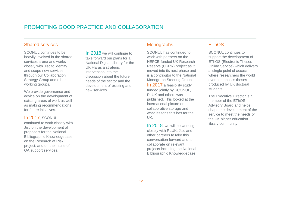# PROMOTING GOOD PRACTICE AND COLLABORATION

#### Shared services

SCONUL continues to be heavily involved in the shared services arena and works closely with Jisc to identify and scope new services through our Collaboration Strategy Group and other working groups.

We provide governance and advice on the development of existing areas of work as well as making recommendations for future initiatives.

#### In 2017, SCONUL

continued to work closely with Jisc on the development of proposals for the National Bibliographic Knowledgebase, on the Research at Risk project, and on their suite of OA support services.

In 2018 we will continue to take forward our plans for a National Digital Library for the UK HE as a strategic intervention into the discussion about the future needs of the sector and the development of existing and new services.

## **Monographs**

\_\_\_\_\_\_\_\_\_\_\_\_\_\_\_\_\_\_\_\_\_\_\_\_\_\_\_\_\_\_\_\_\_\_\_\_\_\_\_\_\_\_\_\_\_\_\_\_\_\_\_\_\_\_\_\_\_\_\_\_\_\_\_\_\_\_\_\_\_\_\_\_\_\_\_\_\_\_\_\_\_\_\_\_\_\_\_\_\_

SCONUL has continued to work with partners on the HEFCE-funded UK Research Reserve (UKRR) project as it moved into its next phase and is a contributor to the National Monograph Steering Group. In 2017 a feasibility study funded jointly by SCONUL, RLUK and others was published. This looked at the international picture on collaborative storage and what lessons this has for the UK.

In 2018, we will be working closely with RLUK, Jisc and other partners to take this conversation forward and to collaborate on relevant projects including the National Bibliographic Knowledgebase.

## **EThOS**

SCONUL continues to support the development of EThOS (Electronic Theses Online Service) which delivers a 'single point of access' where researchers the world over can access theses produced by UK doctoral students.

The Executive Director is a member of the EThOS Advisory Board and helps shape the development of the service to meet the needs of the UK higher education library community.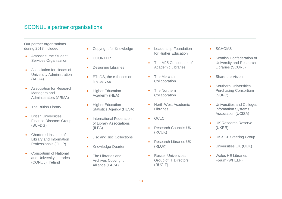## SCONUL's partner organisations

Our partner organisations during 2017 included:

- Amosshe, the Student Services Organisation
- Association for Heads of University Administration (AHUA)
- Association for Research Managers and Administrators (ARMA)
- The British Library
- British Universities Finance Directors Group (BUFDG)
- Chartered Institute of Library and Information Professionals (CILIP)
- Consortium of National and University Libraries (CONUL), Ireland
- Copyright for Knowledge
- **COUNTER**
- Designing Libraries
- EThOS, the e-theses online service
- Higher Education Academy (HEA)
- Higher Education Statistics Agency (HESA)
- International Federation of Library Associations (ILFA)
- Jisc and Jisc Collections
- Knowledge Quarter
- The Libraries and Archives Copyright Alliance (LACA)
- **•** Leadership Foundation for Higher Education
- The M25 Consortium of Academic Libraries
- The Mercian **Collaboration**
- The Northern **Collaboration**
- North West Academic Libraries
- OCLC
- Research Councils UK (RCUK)
- Research Libraries UK (RLUK)
- Russell Universities Group of IT Directors (RUGIT)
- **SCHOMS**
- Scottish Confederation of University and Research Libraries (SCURL)
- **Share the Vision**
- **Southern Universities** Purchasing Consortium (SUPC)
- Universities and Colleges Information Systems Association (UCISA)
- UK Research Reserve (UKRR)
- UK-SCL Steering Group
- Universities UK (UUK)
- Wales HE Libraries Forum (WHELF)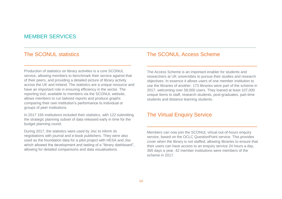## MEMBER SERVICES

## The SCONUL statistics

Production of statistics on library activities is a core SCONUL service, allowing members to benchmark their service against that of their peers, and providing a detailed picture of library activity across the UK and Ireland. The statistics are a unique resource and have an important role in ensuring efficiency in the sector. The reporting tool, available to members via the SCONUL website, allows members to run tailored reports and produce graphs comparing their own institution's performance to individual or groups of peer institutions.

\_\_\_\_\_\_\_\_\_\_\_\_\_\_\_\_\_\_\_\_\_\_\_\_\_\_\_\_\_\_\_\_\_\_\_\_\_\_\_\_\_

In 2017 156 institutions included their statistics, with 122 submitting the strategic planning subset of data released early in time for the budget planning round.

During 2017, the statistics were used by Jisc to inform its negotiations with journal and e-book publishers. They were also used as the foundation data for a pilot project with HESA and Jisc which allowed the development and testing of a "library dashboard". allowing for detailed comparisons and data visualisations.

## The SCONUL Access Scheme

The Access Scheme is an important enabler for students and researchers at UK universities to pursue their studies and research objectives. In essence it allows users of one member institution to use the libraries of another. 173 libraries were part of the scheme in 2017, welcoming over 58,000 users. They loaned at least 107,000 unique items to staff, research students, post-graduates, part-time students and distance learning students.

\_\_\_\_\_\_\_\_\_\_\_\_\_\_\_\_\_\_\_\_\_\_\_\_\_\_\_\_\_\_\_\_\_\_\_\_\_

## The Virtual Enquiry Service

Members can now join the SCONUL virtual out-of-hours enquiry service, based on the OCLC QuestionPoint service. This provides cover when the library is not staffed, allowing libraries to ensure that their users can have access to an enquiry service 24 hours a day, 365 days a year. 42 member institutions were members of the scheme in 2017.

\_\_\_\_\_\_\_\_\_\_\_\_\_\_\_\_\_\_\_\_\_\_\_\_\_\_\_\_\_\_\_\_\_\_\_\_\_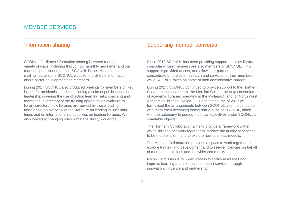## MEMBER SERVICES

#### Information sharing

SCONUL facilitates information sharing between members in a variety of ways, including through our monthly newsletter and our triannual practitioner journal, SCONUL Focus. We also use our mailing lists and the SCONUL website to distribute information about sector developments to members.

\_\_\_\_\_\_\_\_\_\_\_\_\_\_\_\_\_\_\_\_\_\_\_\_\_\_\_\_\_\_\_\_\_\_\_\_\_\_\_\_\_\_

During 2017 SCONUL also produced briefings for members on key issues for academic libraries, including a suite of publications on leadership covering the use of action learning sets, coaching and mentoring; a directory of the training opportunities available to library directors; how libraries are viewed by those leading institutions, an overview of the literature on leading in uncertain times and on international perspectives on leading libraries. We also looked at changing roles within the library workforce.

#### Supporting member consortia

Since 2013 SCONUL has been providing support for other library consortia whose members are also members of SCONUL. This support is provided at cost, and allows our partner consortia to concentrate on projects, research and services for their members while SCONUL takes on some of their administrative burden.

\_\_\_\_\_\_\_\_\_\_\_\_\_\_\_\_\_\_\_\_\_\_\_\_\_\_\_\_\_\_\_\_\_\_\_\_\_\_\_\_\_\_

During 2017, SCONUL continued to provide support to the Northern Collaboration consortium, the Mercian Collaboration (a consortium of academic libraries operating in the Midlands), and for North West Academic Libraries (NoWAL). During the course of 2017 we formalised the arrangements between SCONUL and the consortia with them each becoming formal sub-groups of SCONUL, albeit with the autonomy to pursue their own objectives under SCONUL's charitable objects.

The Northern Collaboration aims to provide a framework within which libraries can work together to improve the quality of services, to be more efficient, and to explore new business models.

The Mercian Collaboration provides a space to work together to explore training and development and to seek efficiencies on behalf of member institutions and the wider community.

NoWAL's mission is to widen access to library resources and improve learning and information support services through innovation, influence and partnership.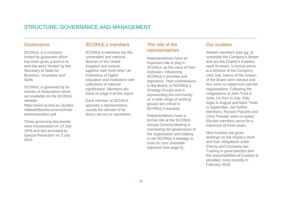# STRUCTURE, GOVERNANCE AND MANAGEMENT

#### Governance

SCONUL is a company limited by guarantee which has been given a licence to omit the word 'limited' by the Secretary of State for Business, Innovation and Skills.

SCONUL is governed by its Articles of Association which are available on the SCONUL website:

https://www.sconul.ac.uk/sites /default/files/documents/Articl esofAssociation.pdf

These governing documents were incorporated on 13 July 1979 and last amended by Special Resolution on 3 July 2015.

## SCONUL's members

SCONUL's members are the universities and national libraries of the United Kingdom and Ireland, together with most other UK institutions of higher education and institutions with collections of national significance. Members are listed on page 4 of this report.

Each member of SCONUL appoints a representative, usually the director of its library service or equivalent.

## The role of the representatives

\_\_\_\_\_\_\_\_\_\_\_\_\_\_\_\_\_\_\_\_\_\_\_\_\_\_\_\_\_\_\_\_\_\_\_\_\_\_\_\_\_\_\_\_\_\_\_\_\_\_\_\_\_\_\_\_\_\_\_\_\_\_\_\_\_\_\_\_\_\_\_\_\_\_\_\_\_\_\_\_\_\_\_\_\_\_\_\_\_

Representatives have an important role to play in SCONUL as the voice of their institution, influencing SCONUL's priorities and objectives. Their contributions to the Board, to SCONUL's Strategy Groups and in representing the community on a wide range of working groups are critical to SCONUL's success.

Representatives have a formal role at the SCONUL Annual General Meeting in overseeing the governance of the organisation and helping to set SCONUL's strategy to meet its core charitable objective (see page 6).

#### Our trustees

Sixteen members (see pg. 3) constitute the Company's Board and are the Charity's trustees, each of whom, in formal terms, is a Director of the Company. Until July, twelve of the sixteen of the Board were elected and four were co-opted from partner organisations. Following the resignations of John Tuck in June, Liz Kerr in July, Kitty Inglis in August and Mark Toole in September, two further members, Richard Parsons and Chris Pressler were co-opted. Elected members serve for a maximum of three years.

New trustees are given briefings on the charity's work and their obligations under Charity and Company law. Training in good practice and the responsibilities of trustees is provided, most recently in February 2018.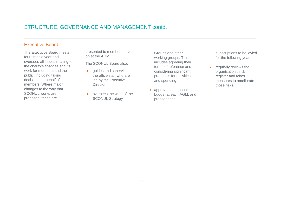# STRUCTURE, GOVERNANCE AND MANAGEMENT contd.

#### Executive Board

The Executive Board meets four times a year and oversees all issues relating to the charity's finances and its work for members and the public, including taking decisions on behalf of members. Where major changes to the way that SCONUL works are proposed, these are

presented to members to vote on at the AGM.

The SCONUL Board also:

- **•** quides and supervises the office staff who are led by the Executive **Director**
- oversees the work of the **SCONUL Strategy**

Groups and other working groups. This includes agreeing their terms of reference and considering significant proposals for activities and spending

• approves the annual budget at each AGM, and proposes the

subscriptions to be levied for the following year

**•** regularly reviews the organisation's risk register and takes measures to ameliorate those risks.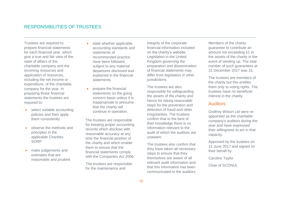#### RESPONSIBILITIES OF TRUSTEES

Trustees are required to prepare financial statements for each financial year, which give a true and fair view of the state of affairs of the charitable company and the incoming resources and application of resources, including the net income or expenditure, of the charitable company for the year. In preparing those financial statements the trustees are required to:

- select suitable accounting policies and then apply them consistently
- observe the methods and principles in the applicable Charities SORP
- make judgements and estimates that are reasonable and prudent
- state whether applicable accounting standards and statements of recommended practice have been followed, subject to any material departures disclosed and explained in the financial statements
- prepare the financial statements on the going concern basis unless it is inappropriate to presume that the charity will continue in operation.

The trustees are responsible for keeping proper accounting records which disclose with reasonable accuracy at any time the financial position of the charity and which enable them to ensure that the financial statements comply with the Companies Act 2006.

The trustees are responsible for the maintenance and

integrity of the corporate financial information included on the charity's website. Legislation in the United Kingdom governing the preparation and dissemination of financial statements may differ from legislation in other jurisdictions.

The trustees are also responsible for safeguarding the assets of the charity and hence for taking reasonable steps for the prevention and detection of fraud and other irregularities. The trustees confirm that to the best of their knowledge there is no information relevant to the audit of which the auditors are unaware.

The trustees also confirm that they have taken all necessary steps to ensure that they themselves are aware of all relevant audit information and that this information has been communicated to the auditors. Members of the charity guarantee to contribute an amount not exceeding £1 to the assets of the charity in the event of winding up. The total number of such guarantees at 31 December 2017 was 15.

The trustees are members of the charity but this entitles them only to voting rights. The trustees have no beneficial interest in the charity.

#### Auditors

Godfrey Wilson Ltd were reappointed as the charitable company's auditors during the year and have expressed their willingness to act in that capacity.

Approved by the trustees on 12 June 2017 and signed on their behalf by

Caroline Taylor

Chair of SCONUL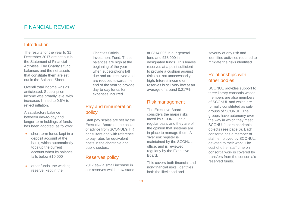## FINANCIAL REVIEW

#### Introduction

The results for the year to 31 December 2017 are set out in the Statement of Financial Activities. The Charity's fund balances and the net assets that constitute them are set out in the Balance Sheet.

Overall total income was as anticipated. Subscription income was broadly level with increases limited to 0.6% to reflect inflation.

A satisfactory balance between day-to-day and longer-term holdings of funds has been adopted, as follows:

- short-term funds kept in a deposit account at the bank, which automatically tops up the current account when its balance falls below £10,000
- other funds, the working reserve, kept in the

Charities Official Investment Fund. These balances are high at the beginning of the year when subscriptions fall due and are received and are reduced towards the end of the year to provide day-to-day funds for expenses incurred.

#### Pay and remuneration policy

Staff pay scales are set by the Executive Board on the basis of advice from SCONUL's HR consultant and with reference to pay rates for equivalent posts in the charitable and public sectors.

#### Reserves policy

2017 saw a small increase in our reserves which now stand at £314,006 in our general fund and £78,900 in designated funds. This leaves reserves at a point sufficient to provide a cushion against risks but not unnecessarily high. Interest income on reserves is still very low at an average of around 0.217%.

#### Risk management

The Executive Board considers the major risks faced by SCONUL on a regular basis and they are of the opinion that systems are in place to manage them. A "live" risk register is maintained by the SCONUL office, and is reviewed regularly by the Executive Board.

This covers both financial and non-financial risks; identifies both the likelihood and

severity of any risk and identifies activities required to mitigate the risks identified.

#### Relationships with other bodies

SCONUL provides support to three library consortia whose members are also members of SCONUL and which are formally constituted as subgroups of SCONUL. The groups have autonomy over the way in which they meet SCONUL's core charitable objects (see page 6). Each consortia has a member of staff, employed by SCONUL, devoted to their work. The cost of other staff time on consortia work is covered by transfers from the consortia's reserved funds.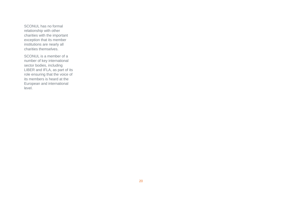SCONUL has no formal relationship with other charities with the important exception that its member institutions are nearly all charities themselves.

SCONUL is a member of a number of key international sector bodies, including LIBER and IFLA, as part of its role ensuring that the voice of its members is heard at the European and international level.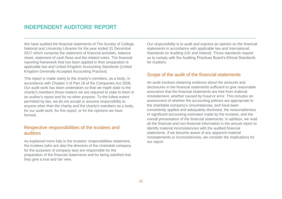# INDEPENDENT AUDITORS' REPORT

We have audited the financial statements of The Society of College, National and University Libraries for the year ended 31 December 2017 which comprise the statement of financial activities, balance sheet, statement of cash flows and the related notes. The financial reporting framework that has been applied in their preparation is applicable law and United Kingdom Accounting Standards (United Kingdom Generally Accepted Accounting Practice).

This report is made solely to the charity's members, as a body, in accordance with Chapter 3 of Part 16 of the Companies Act 2006. Our audit work has been undertaken so that we might state to the charity's members those matters we are required to state to them in an auditor's report and for no other purpose. To the fullest extent permitted by law, we do not accept or assume responsibility to anyone other than the charity and the charity's members as a body, for our audit work, for this report, or for the opinions we have formed.

## Respective responsibilities of the trustees and auditors

As explained more fully in the trustees' responsibilities statement, the trustees (who are also the directors of the charitable company for the purposes of company law) are responsible for the preparation of the financial statements and for being satisfied that they give a true and fair view.

Our responsibility is to audit and express an opinion on the financial statements in accordance with applicable law and International Standards on Auditing (UK and Ireland). Those standards require us to comply with the Auditing Practices Board's Ethical Standards for Auditors.

#### Scope of the audit of the financial statements

An audit involves obtaining evidence about the amounts and disclosures in the financial statements sufficient to give reasonable assurance that the financial statements are free from material misstatement, whether caused by fraud or error. This includes an assessment of whether the accounting policies are appropriate to the charitable company's circumstances, and have been consistently applied and adequately disclosed, the reasonableness of significant accounting estimates made by the trustees, and the overall presentation of the financial statements. In addition, we read all the financial and non-financial information in the annual report to identify material inconsistencies with the audited financial statements. If we become aware of any apparent material misstatements or inconsistencies, we consider the implications for our report.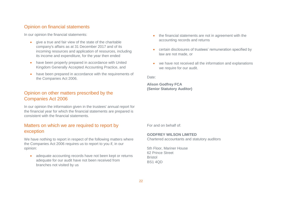#### Opinion on financial statements

In our opinion the financial statements:

- give a true and fair view of the state of the charitable company's affairs as at 31 December 2017 and of its incoming resources and application of resources, including its income and expenditure, for the year then ended
- have been properly prepared in accordance with United Kingdom Generally Accepted Accounting Practice, and
- have been prepared in accordance with the requirements of the Companies Act 2006.

## Opinion on other matters prescribed by the Companies Act 2006

In our opinion the information given in the trustees' annual report for the financial year for which the financial statements are prepared is consistent with the financial statements.

#### Matters on which we are required to report by exception

We have nothing to report in respect of the following matters where the Companies Act 2006 requires us to report to you if, in our opinion:

 adequate accounting records have not been kept or returns adequate for our audit have not been received from branches not visited by us

- the financial statements are not in agreement with the accounting records and returns
- certain disclosures of trustees' remuneration specified by law are not made, or
- we have not received all the information and explanations we require for our audit.

Date:

**Alison Godfrey FCA (Senior Statutory Auditor)**

For and on behalf of:

#### **GODFREY WILSON LIMITED**

Chartered accountants and statutory auditors

5th Floor, Mariner House 62 Prince Street Bristol BS1 4QD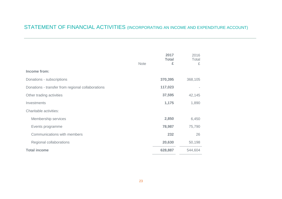# STATEMENT OF FINANCIAL ACTIVITIES (INCORPORATING AN INCOME AND EXPENDITURE ACCOUNT)

|                                                   |             | 2017<br><b>Total</b> | 2016<br>Total |
|---------------------------------------------------|-------------|----------------------|---------------|
|                                                   | <b>Note</b> | £                    | £             |
| Income from:                                      |             |                      |               |
| Donations - subscriptions                         |             | 370,395              | 368,105       |
| Donations - transfer from regional collaborations |             | 117,023              |               |
| Other trading activities                          |             | 37,595               | 42,145        |
| Investments                                       |             | 1,175                | 1,890         |
| <b>Charitable activities:</b>                     |             |                      |               |
| Membership services                               |             | 2,850                | 6,450         |
| Events programme                                  |             | 78,987               | 75,790        |
| Communications with members                       |             | 232                  | 26            |
| Regional collaborations                           |             | 20,630               | 50,198        |
| <b>Total income</b>                               |             | 628,887              | 544,604       |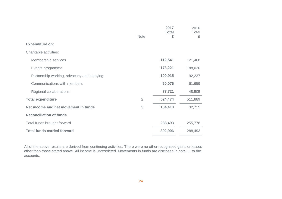|                                            |             | 2017<br><b>Total</b> | 2016<br>Total |
|--------------------------------------------|-------------|----------------------|---------------|
|                                            | <b>Note</b> | £                    | £             |
| <b>Expenditure on:</b>                     |             |                      |               |
| Charitable activities:                     |             |                      |               |
| Membership services                        |             | 112,541              | 121,468       |
| Events programme                           |             | 173,221              | 188,020       |
| Partnership working, advocacy and lobbying |             | 100,915              | 92,237        |
| Communications with members                |             | 60,076               | 61,659        |
| Regional collaborations                    |             | 77,721               | 48,505        |
| <b>Total expenditure</b>                   | 2           | 524,474              | 511,889       |
| Net income and net movement in funds       | 3           | 104,413              | 32,715        |
| <b>Reconciliation of funds</b>             |             |                      |               |
| Total funds brought forward                |             | 288,493              | 255,778       |
| <b>Total funds carried forward</b>         |             | 392,906              | 288,493       |

All of the above results are derived from continuing activities. There were no other recognised gains or losses other than those stated above. All income is unrestricted. Movements in funds are disclosed in note 11 to the accounts.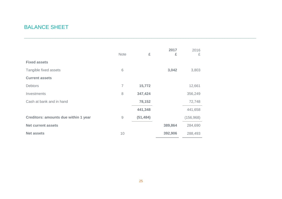# BALANCE SHEET

|                                             | <b>Note</b>    | £         | 2017<br>£ | 2016<br>£  |
|---------------------------------------------|----------------|-----------|-----------|------------|
| <b>Fixed assets</b>                         |                |           |           |            |
| Tangible fixed assets                       | 6              |           | 3,042     | 3,803      |
| <b>Current assets</b>                       |                |           |           |            |
| <b>Debtors</b>                              | $\overline{7}$ | 15,772    |           | 12,661     |
| Investments                                 | 8              | 347,424   |           | 356,249    |
| Cash at bank and in hand                    |                | 78,152    |           | 72,748     |
|                                             |                | 441,348   |           | 441,658    |
| <b>Creditors: amounts due within 1 year</b> | $\mathsf{9}$   | (51, 484) |           | (156, 968) |
| <b>Net current assets</b>                   |                |           | 389,864   | 284,690    |
| <b>Net assets</b>                           | 10             |           | 392,906   | 288,493    |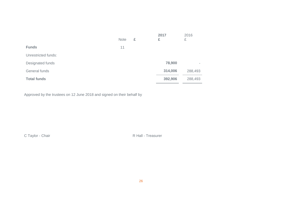|                     | <b>Note</b> | £ | 2017<br>£ | 2016<br>£                |
|---------------------|-------------|---|-----------|--------------------------|
| <b>Funds</b>        | 11          |   |           |                          |
| Unrestricted funds: |             |   |           |                          |
| Designated funds    |             |   | 78,900    | $\overline{\phantom{a}}$ |
| General funds       |             |   | 314,006   | 288,493                  |
| <b>Total funds</b>  |             |   | 392,906   | 288,493                  |

Approved by the trustees on 12 June 2018 and signed on their behalf by

C Taylor - Chair **C Taylor** - Chair **C Taylor** - Chair **R Hall - Treasurer**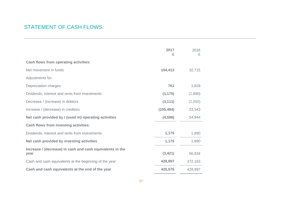# STATEMENT OF CASH FLOWS

|                                                                   | 2017<br>£  | 2016<br>£ |
|-------------------------------------------------------------------|------------|-----------|
| <b>Cash flows from operating activities:</b>                      |            |           |
| Net movement in funds                                             | 104,413    | 32,715    |
| Adjustments for:                                                  |            |           |
| Depreciation charges                                              | 761        | 1,828     |
| Dividends, interest and rents from investments                    | (1, 175)   | (1,890)   |
| Decrease / (increase) in debtors                                  | (3, 111)   | (1,252)   |
| Increase / (decrease) in creditors                                | (105, 484) | 23,543    |
| Net cash provided by / (used in) operating activities             | (4,596)    | 54,944    |
| <b>Cash flows from investing activities:</b>                      |            |           |
| Dividends, interest and rents from investments                    | 1,175      | 1,890     |
| Net cash provided by investing activities                         | 1,175      | 1,890     |
| Increase / (decrease) in cash and cash equivalents in the<br>year | (3, 421)   | 56,834    |
| Cash and cash equivalents at the beginning of the year            | 428,997    | 372,163   |
| Cash and cash equivalents at the end of the year                  | 425,576    | 428,997   |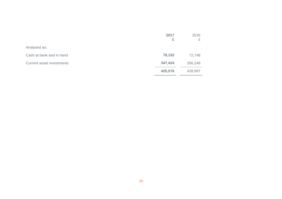|                                  | 2017<br>£ | 2016<br>£ |
|----------------------------------|-----------|-----------|
| Analysed as:                     |           |           |
| Cash at bank and in hand         | 78,152    | 72,748    |
| <b>Current asset investments</b> | 347,424   | 356,249   |
|                                  | 425,576   | 428,997   |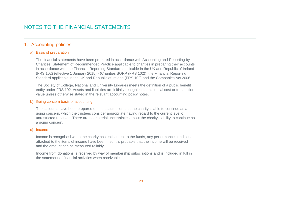# NOTES TO THE FINANCIAL STATEMENTS

#### 1. Accounting policies

#### a) Basis of preparation

The financial statements have been prepared in accordance with Accounting and Reporting by Charities: Statement of Recommended Practice applicable to charities in preparing their accounts in accordance with the Financial Reporting Standard applicable in the UK and Republic of Ireland (FRS 102) (effective 1 January 2015) - (Charities SORP (FRS 102)), the Financial Reporting Standard applicable in the UK and Republic of Ireland (FRS 102) and the Companies Act 2006.

The Society of College, National and University Libraries meets the definition of a public benefit entity under FRS 102. Assets and liabilities are initially recognised at historical cost or transaction value unless otherwise stated in the relevant accounting policy notes.

#### b) Going concern basis of accounting

The accounts have been prepared on the assumption that the charity is able to continue as a going concern, which the trustees consider appropriate having regard to the current level of unrestricted reserves. There are no material uncertainties about the charity's ability to continue as a going concern.

#### c) Income

Income is recognised when the charity has entitlement to the funds, any performance conditions attached to the items of income have been met, it is probable that the income will be received and the amount can be measured reliably.

Income from donations is received by way of membership subscriptions and is included in full in the statement of financial activities when receivable.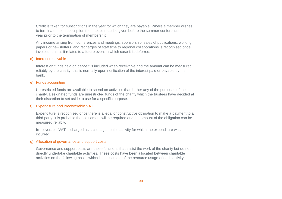Credit is taken for subscriptions in the year for which they are payable. Where a member wishes to terminate their subscription then notice must be given before the summer conference in the year prior to the termination of membership.

Any income arising from conferences and meetings, sponsorship, sales of publications, working papers or newsletters, and recharges of staff time to regional collaborations is recognised once invoiced, unless it relates to a future event in which case it is deferred.

#### d) Interest receivable

Interest on funds held on deposit is included when receivable and the amount can be measured reliably by the charity: this is normally upon notification of the interest paid or payable by the bank.

#### e) Funds accounting

Unrestricted funds are available to spend on activities that further any of the purposes of the charity. Designated funds are unrestricted funds of the charity which the trustees have decided at their discretion to set aside to use for a specific purpose.

#### f) Expenditure and irrecoverable VAT

Expenditure is recognised once there is a legal or constructive obligation to make a payment to a third party, it is probable that settlement will be required and the amount of the obligation can be measured reliably.

Irrecoverable VAT is charged as a cost against the activity for which the expenditure was incurred.

#### g) Allocation of governance and support costs

Governance and support costs are those functions that assist the work of the charity but do not directly undertake charitable activities. These costs have been allocated between charitable activities on the following basis, which is an estimate of the resource usage of each activity: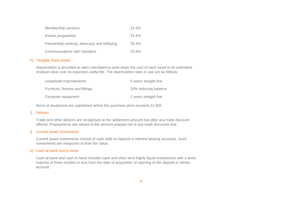| Membership services                        | 31.6%    |
|--------------------------------------------|----------|
| Events programme                           | 31.6%    |
| Partnership working, advocacy and lobbying | 26.3%    |
| Communications with members                | $10.5\%$ |

#### h) Tangible fixed assets

Depreciation is provided at rates calculated to write down the cost of each asset to its estimated residual value over its expected useful life. The depreciation rates in use are as follows:

| Leasehold improvements           | 5 years straight line |
|----------------------------------|-----------------------|
| Furniture, fixtures and fittings | 20% reducing balance  |
| Computer equipment               | 3 years straight line |

Items of equipment are capitalised where the purchase price exceeds £1,000.

#### i) Debtors

Trade and other debtors are recognised at the settlement amount due after any trade discount offered. Prepayments are valued at the amount prepaid net of any trade discounts due.

#### i) Current asset investments

Current asset investments consist of cash held on deposit in interest bearing accounts. Such investments are measured at their fair value.

#### k) Cash at bank and in hand

Cash at bank and cash in hand includes cash and short term highly liquid investments with a short maturity of three months or less from the date of acquisition or opening of the deposit or similar account.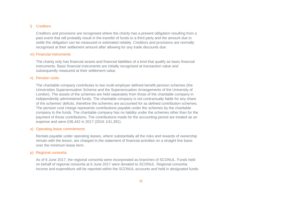#### l) Creditors

Creditors and provisions are recognised where the charity has a present obligation resulting from a past event that will probably result in the transfer of funds to a third party and the amount due to settle the obligation can be measured or estimated reliably. Creditors and provisions are normally recognised at their settlement amount after allowing for any trade discounts due.

#### m) Financial instruments

The charity only has financial assets and financial liabilities of a kind that qualify as basic financial instruments. Basic financial instruments are initially recognised at transaction value and subsequently measured at their settlement value.

#### n) Pension costs

The charitable company contributes to two multi-employer defined benefit pension schemes (the Universities Superannuation Scheme and the Superannuation Arrangements of the University of London). The assets of the schemes are held separately from those of the charitable company in independently administered funds. The charitable company is not contractually liable for any share of the schemes' deficits, therefore the schemes are accounted for as defined contribution schemes. The pension cost charge represents contributions payable under the schemes by the charitable company to the funds. The charitable company has no liability under the schemes other than for the payment of those contributions. The contributions made for the accounting period are treated as an expense and were £36,442 in 2017 (2016: £41,391).

#### o) Operating lease commitments

Rentals payable under operating leases, where substantially all the risks and rewards of ownership remain with the lessor, are charged to the statement of financial activities on a straight line basis over the minimum lease term.

#### p) Regional consortia

As of 6 June 2017, the regional consortia were incorporated as branches of SCONUL. Funds held on behalf of regional consortia at 6 June 2017 were donated to SCONUL. Regional consortia income and expenditure will be reported within the SCONUL accounts and held in designated funds.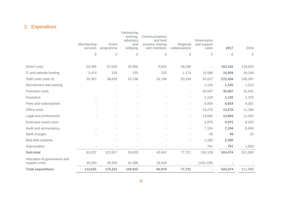# 2. Expenditure

|                                               | Membership<br>services | Event<br>programme | Partnership<br>working,<br>advocacy<br>and<br>lobbying | Communications<br>and best<br>practice sharing<br>with members | Regional<br>collaborations | Governance<br>and support<br>costs | 2017    | 2016    |
|-----------------------------------------------|------------------------|--------------------|--------------------------------------------------------|----------------------------------------------------------------|----------------------------|------------------------------------|---------|---------|
|                                               | £                      | £                  | £                                                      | £                                                              | £                          | £                                  | £       | £       |
|                                               |                        |                    |                                                        |                                                                |                            |                                    |         |         |
| Direct costs                                  | 24,396                 | 67,055             | 25,800                                                 | 9,643                                                          | 26,298                     |                                    | 153,192 | 118,653 |
| IT and website hosting                        | 3,474                  | 229                | 233                                                    | 233                                                            | 1,174                      | 10,586                             | 15,929  | 18,248  |
| Staff costs (note 4)                          | 35,367                 | 56,633             | 33,796                                                 | 33,766                                                         | 50,249                     | 62,627                             | 272,438 | 295,347 |
| Recruitment and training                      |                        |                    |                                                        |                                                                | ٠                          | 1,145                              | 1,145   | 1,512   |
| Premises costs                                |                        |                    |                                                        |                                                                | -                          | 30,587                             | 30,587  | 31,041  |
| Insurance                                     |                        |                    |                                                        |                                                                |                            | 1,120                              | 1,120   | 1,155   |
| Fees and subscriptions                        |                        |                    |                                                        |                                                                |                            | 6,934                              | 6,934   | 6,201   |
| Office costs                                  |                        |                    |                                                        |                                                                | ä,                         | 13,276                             | 13,276  | 11,386  |
| Legal and professional                        |                        |                    |                                                        |                                                                |                            | 13,694                             | 13,694  | 11,452  |
| <b>Executive board costs</b>                  |                        |                    |                                                        |                                                                | ä,                         | 5,975                              | 5,975   | 8,203   |
| Audit and accountancy                         |                        |                    |                                                        |                                                                |                            | 7,194                              | 7,194   | 6,840   |
| Bank charges                                  |                        |                    |                                                        |                                                                |                            | 49                                 | 49      | 23      |
| Bad debt expense                              |                        |                    |                                                        |                                                                |                            | 2,180                              | 2,180   |         |
| Depreciation                                  |                        |                    |                                                        |                                                                |                            | 761                                | 761     | 1,828   |
| Sub-total                                     | 63,237                 | 123,917            | 59,829                                                 | 43,642                                                         | 77,721                     | 156,128                            | 524,474 | 511,889 |
| Allocation of governance and<br>support costs | 49,304                 | 49,304             | 41,086                                                 | 16,434                                                         |                            | (156, 128)                         |         |         |
| <b>Total expenditure</b>                      | 112,541                | 173,221            | 100,915                                                | 60,076                                                         | 77,721                     |                                    | 524,474 | 511,889 |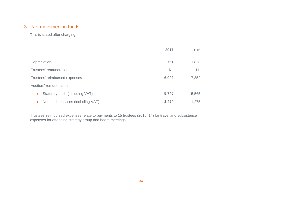## 3. Net movement in funds

This is stated after charging:

|                                                 | 2017<br>£  | 2016<br>£  |
|-------------------------------------------------|------------|------------|
| Depreciation                                    | 761        | 1,828      |
| Trustees' remuneration                          | <b>Nil</b> | <b>Nil</b> |
| Trustees' reimbursed expenses                   | 6,002      | 7,352      |
| Auditors' remuneration:                         |            |            |
| Statutory audit (including VAT)<br>$\bullet$    | 5,740      | 5,565      |
| Non audit services (including VAT)<br>$\bullet$ | 1,454      | 1,275      |

Trustees' reimbursed expenses relate to payments to 15 trustees (2016: 14) for travel and subsistence expenses for attending strategy group and board meetings.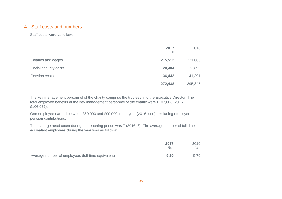#### 4. Staff costs and numbers

Staff costs were as follows:

|                       | 2017<br>£ | 2016<br>£ |
|-----------------------|-----------|-----------|
| Salaries and wages    | 215,512   | 231,066   |
| Social security costs | 20,484    | 22,890    |
| Pension costs         | 36,442    | 41,391    |
|                       | 272,438   | 295,347   |

The key management personnel of the charity comprise the trustees and the Executive Director. The total employee benefits of the key management personnel of the charity were £107,808 (2016: £106,937).

One employee earned between £80,000 and £90,000 in the year (2016: one), excluding employer pension contributions.

The average head count during the reporting period was 7 (2016: 8). The average number of full time equivalent employees during the year was as follows:

|                                                    | 2017<br>No. | 2016<br>No. |
|----------------------------------------------------|-------------|-------------|
| Average number of employees (full-time equivalent) | 5.20        | 5.70        |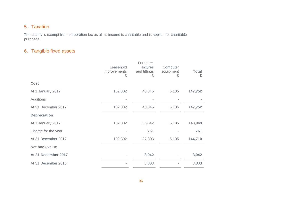## 5. Taxation

The charity is exempt from corporation tax as all its income is charitable and is applied for charitable purposes.

# 6. Tangible fixed assets

|                     | Leasehold<br>improvements<br>£ | Furniture,<br>fixtures<br>and fittings<br>£ | Computer<br>equipment<br>£ | <b>Total</b><br>£ |
|---------------------|--------------------------------|---------------------------------------------|----------------------------|-------------------|
| <b>Cost</b>         |                                |                                             |                            |                   |
| At 1 January 2017   | 102,302                        | 40,345                                      | 5,105                      | 147,752           |
| <b>Additions</b>    |                                |                                             |                            |                   |
| At 31 December 2017 | 102,302                        | 40,345                                      | 5,105                      | 147,752           |
| <b>Depreciation</b> |                                |                                             |                            |                   |
| At 1 January 2017   | 102,302                        | 36,542                                      | 5,105                      | 143,949           |
| Charge for the year |                                | 761                                         |                            | 761               |
| At 31 December 2017 | 102,302                        | 37,303                                      | 5,105                      | 144,710           |
| Net book value      |                                |                                             |                            |                   |
| At 31 December 2017 |                                | 3,042                                       |                            | 3,042             |
| At 31 December 2016 |                                | 3,803                                       |                            | 3,803             |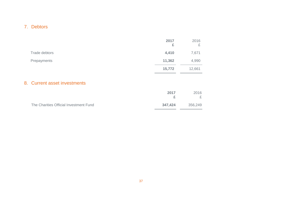# 7. Debtors

|                                        | 2017<br>£ | 2016<br>£ |
|----------------------------------------|-----------|-----------|
| Trade debtors                          | 4,410     | 7,671     |
| Prepayments                            | 11,362    | 4,990     |
|                                        | 15,772    | 12,661    |
| 8. Current asset investments           |           |           |
|                                        | 2017<br>£ | 2016<br>£ |
| The Charities Official Investment Fund | 347,424   | 356,249   |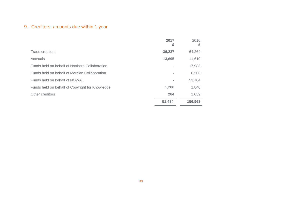# 9. Creditors: amounts due within 1 year

|                                                 | 2017<br>£ | 2016<br>£ |
|-------------------------------------------------|-----------|-----------|
| <b>Trade creditors</b>                          | 36,237    | 64,264    |
| Accruals                                        | 13,695    | 11,610    |
| Funds held on behalf of Northern Collaboration  | $\equiv$  | 17,983    |
| Funds held on behalf of Mercian Collaboration   | $\equiv$  | 6,508     |
| Funds held on behalf of NOWAL                   | $\equiv$  | 53,704    |
| Funds held on behalf of Copyright for Knowledge | 1,288     | 1,840     |
| Other creditors                                 | 264       | 1,059     |
|                                                 | 51,484    | 156,968   |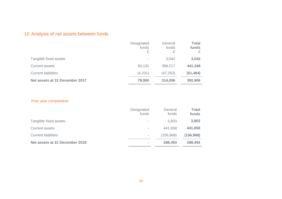# 10.Analysis of net assets between funds

|                                | Designated<br>funds<br>£ | General<br>funds<br>£ | <b>Total</b><br>funds<br>£ |
|--------------------------------|--------------------------|-----------------------|----------------------------|
| Tangible fixed assets          | $\overline{\phantom{a}}$ | 3,042                 | 3,042                      |
| <b>Current assets</b>          | 83,131                   | 358,217               | 441,348                    |
| <b>Current liabilities</b>     | (4,231)                  | (47, 253)             | (51, 484)                  |
| Net assets at 31 December 2017 | 78,900                   | 314,006               | 392,906                    |

#### Prior year comparative

|                                | Designated<br>funds      | General<br>funds | <b>Total</b><br>funds |
|--------------------------------|--------------------------|------------------|-----------------------|
| Tangible fixed assets          | $\overline{\phantom{a}}$ | 3,803            | 3,803                 |
| <b>Current assets</b>          | $\overline{\phantom{a}}$ | 441,658          | 441,658               |
| <b>Current liabilities</b>     | $\overline{\phantom{a}}$ | (156,968)        | (156, 968)            |
| Net assets at 31 December 2016 | $\sim$                   | 288,493          | 288,493               |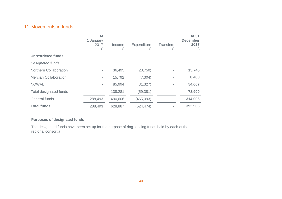## 11.Movements in funds

|                               | At<br>1 January          |             |                  |                       | At 31<br><b>December</b> |
|-------------------------------|--------------------------|-------------|------------------|-----------------------|--------------------------|
|                               | 2017<br>£                | Income<br>£ | Expenditure<br>£ | <b>Transfers</b><br>£ | 2017<br>£                |
| <b>Unrestricted funds</b>     |                          |             |                  |                       |                          |
| Designated funds:             |                          |             |                  |                       |                          |
| <b>Northern Collaboration</b> | $\overline{\phantom{0}}$ | 36,495      | (20, 750)        |                       | 15,745                   |
| <b>Mercian Collaboration</b>  | -                        | 15,792      | (7, 304)         |                       | 8,488                    |
| <b>NOWAL</b>                  | $\overline{\phantom{a}}$ | 85,994      | (31, 327)        |                       | 54,667                   |
| Total designated funds        | -                        | 138,281     | (59, 381)        |                       | 78,900                   |
| General funds                 | 288,493                  | 490,606     | (465, 093)       | ۰                     | 314,006                  |
| <b>Total funds</b>            | 288,493                  | 628,887     | (524, 474)       |                       | 392,906                  |

#### **Purposes of designated funds**

The designated funds have been set up for the purpose of ring-fencing funds held by each of the regional consortia.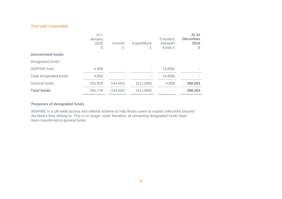#### Prior year comparative

|                           | At 1<br>January<br>2016<br>£ | Income<br>£              | Expenditure<br>£         | <b>Transfers</b><br>between<br>funds £ | <b>At 31</b><br><b>December</b><br>2016<br>£ |
|---------------------------|------------------------------|--------------------------|--------------------------|----------------------------------------|----------------------------------------------|
| <b>Unrestricted funds</b> |                              |                          |                          |                                        |                                              |
| Designated funds:         |                              |                          |                          |                                        |                                              |
| <b>INSPIRE</b> fund       | 4,858                        | $\,$                     | $\overline{\phantom{a}}$ | (4,858)                                |                                              |
| Total designated funds    | 4,858                        | $\overline{\phantom{a}}$ |                          | (4, 858)                               |                                              |
| General funds             | 250,920                      | 544,604                  | (511, 889)               | 4,858                                  | 288,493                                      |
| <b>Total funds</b>        | 255,778                      | 544,604                  | (511, 889)               |                                        | 288,493                                      |

#### **Purposes of designated funds**

INSPIRE is a UK-wide access and referral scheme to help library users to exploit collections beyond the library they belong to. This is no longer used; therefore all remaining designated funds have been transferred to general funds.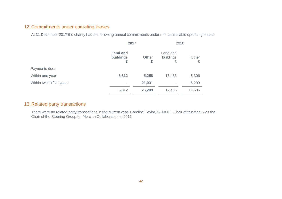## 12.Commitments under operating leases

At 31 December 2017 the charity had the following annual commitments under non-cancellable operating leases

|                          | 2017                              |                   | 2016                       |            |
|--------------------------|-----------------------------------|-------------------|----------------------------|------------|
|                          | <b>Land and</b><br>buildings<br>£ | <b>Other</b><br>£ | Land and<br>buildings<br>£ | Other<br>£ |
| Payments due:            |                                   |                   |                            |            |
| Within one year          | 5,812                             | 5,258             | 17,436                     | 5,306      |
| Within two to five years | $\equiv$                          | 21,031            | $\overline{\phantom{a}}$   | 6,299      |
|                          | 5,812                             | 26,289            | 17,436                     | 11,605     |

## 13.Related party transactions

There were no related party transactions in the current year. Caroline Taylor, SCONUL Chair of trustees, was the Chair of the Steering Group for Mercian Collaboration in 2016.